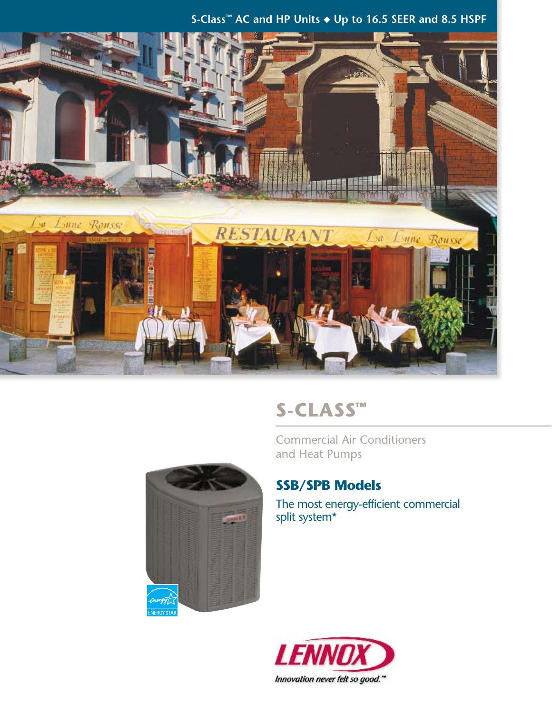### **S-Class™ AC and HP Units** ◆ **Up to 16.5 SEER and 8.5 HSPF**



# **S-Class™**

Commercial Air Conditioners and Heat Pumps



### **SSB/SPB Models**

The most energy-efficient commercial split system\*

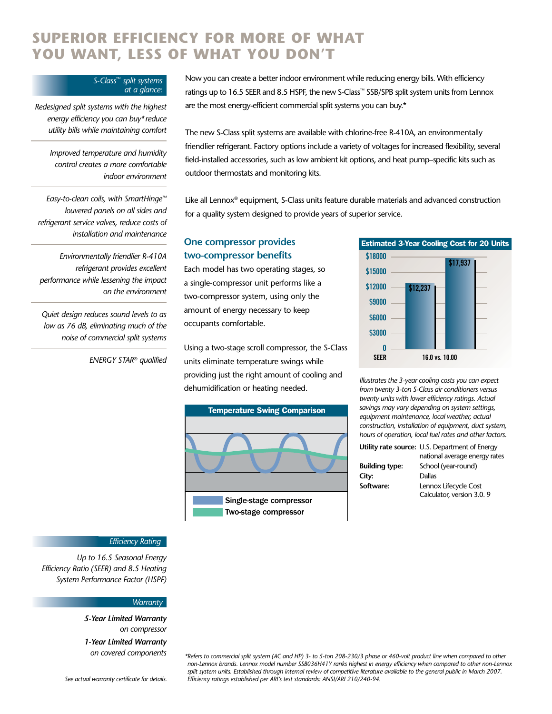# **Superior efficiency for more of what you want, less of what you don't**

#### *S-Class*™ *split systems at a glance:*

*Redesigned split systems with the highest energy efficiency you can buy\* reduce utility bills while maintaining comfort*

*Improved temperature and humidity control creates a more comfortable indoor environment*

*Easy-to-clean coils, with SmartHinge™ louvered panels on all sides and refrigerant service valves, reduce costs of installation and maintenance*

*Environmentally friendlier R-410A refrigerant provides excellent performance while lessening the impact on the environment*

*Quiet design reduces sound levels to as low as 76 dB, eliminating much of the noise of commercial split systems*

*ENERGY STAR® qualified*

Now you can create a better indoor environment while reducing energy bills. With efficiency ratings up to 16.5 SEER and 8.5 HSPF, the new S-Class™ SSB/SPB split system units from Lennox are the most energy-efficient commercial split systems you can buy.\*

The new S-Class split systems are available with chlorine-free R-410A, an environmentally friendlier refrigerant. Factory options include a variety of voltages for increased flexibility, several field-installed accessories, such as low ambient kit options, and heat pump–specific kits such as outdoor thermostats and monitoring kits.

Like all Lennox® equipment, S-Class units feature durable materials and advanced construction for a quality system designed to provide years of superior service.

### **One compressor provides two-compressor benefits**

Each model has two operating stages, so a single-compressor unit performs like a two-compressor system, using only the amount of energy necessary to keep occupants comfortable.

Using a two-stage scroll compressor, the S-Class units eliminate temperature swings while providing just the right amount of cooling and dehumidification or heating needed.





*Illustrates the 3-year cooling costs you can expect from twenty 3-ton S-Class air conditioners versus twenty units with lower efficiency ratings. Actual savings may vary depending on system settings, equipment maintenance, local weather, actual construction, installation of equipment, duct system, hours of operation, local fuel rates and other factors.*

|                       | Utility rate source: U.S. Department of Energy     |
|-----------------------|----------------------------------------------------|
|                       | national average energy rates                      |
| <b>Building type:</b> | School (year-round)                                |
| City:                 | Dallas                                             |
| Software:             | Lennox Lifecycle Cost<br>Calculator, version 3.0.9 |
|                       |                                                    |

### *Efficiency Rating*

*Up to 16.5 Seasonal Energy Efficiency Ratio (SEER) and 8.5 Heating System Performance Factor (HSPF)*

#### *Warranty*

*5-Year Limited Warranty on compressor*

*1-Year Limited Warranty on covered components*

*See actual warranty certificate for details.*

*\*Refers to commercial split system (AC and HP) 3- to 5-ton 208-230/3 phase or 460-volt product line when compared to other non-Lennox brands. Lennox model number SSB036H41Y ranks highest in energy efficiency when compared to other non-Lennox*  split system units. Established through internal review of competitive literature available to the general public in March 2007. *Efficiency ratings established per ARI's test standards: ANSI/ARI 210/240-94.*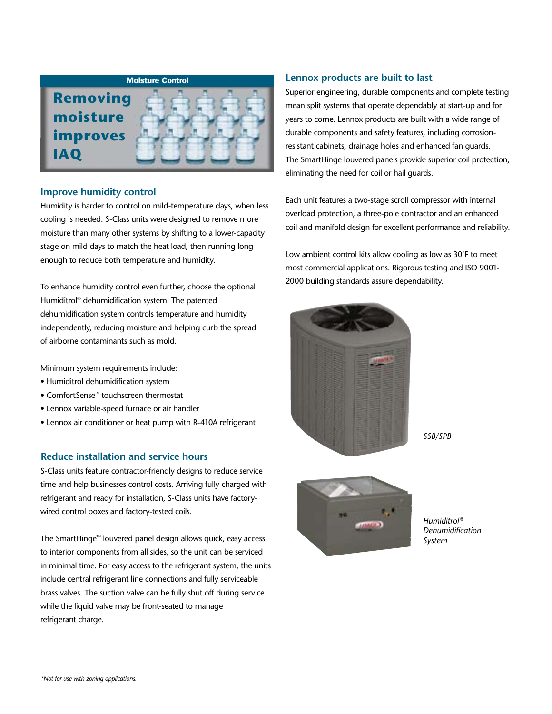

### **Improve humidity control**

Humidity is harder to control on mild-temperature days, when less cooling is needed. S-Class units were designed to remove more moisture than many other systems by shifting to a lower-capacity stage on mild days to match the heat load, then running long enough to reduce both temperature and humidity.

To enhance humidity control even further, choose the optional Humiditrol® dehumidification system. The patented dehumidification system controls temperature and humidity independently, reducing moisture and helping curb the spread of airborne contaminants such as mold.

Minimum system requirements include:

- Humiditrol dehumidification system
- ComfortSense™ touchscreen thermostat
- Lennox variable-speed furnace or air handler
- Lennox air conditioner or heat pump with R-410A refrigerant

### **Reduce installation and service hours**

S-Class units feature contractor-friendly designs to reduce service time and help businesses control costs. Arriving fully charged with refrigerant and ready for installation, S-Class units have factorywired control boxes and factory-tested coils.

The SmartHinge™ louvered panel design allows quick, easy access to interior components from all sides, so the unit can be serviced in minimal time. For easy access to the refrigerant system, the units include central refrigerant line connections and fully serviceable brass valves. The suction valve can be fully shut off during service while the liquid valve may be front-seated to manage refrigerant charge.

### **Lennox products are built to last**

Superior engineering, durable components and complete testing mean split systems that operate dependably at start-up and for years to come. Lennox products are built with a wide range of durable components and safety features, including corrosionresistant cabinets, drainage holes and enhanced fan guards. The SmartHinge louvered panels provide superior coil protection, eliminating the need for coil or hail guards.

Each unit features a two-stage scroll compressor with internal overload protection, a three-pole contractor and an enhanced coil and manifold design for excellent performance and reliability.

Low ambient control kits allow cooling as low as 30˚F to meet most commercial applications. Rigorous testing and ISO 9001- 2000 building standards assure dependability.



*SSB/SPB*



*Humiditrol ® Dehumidification System*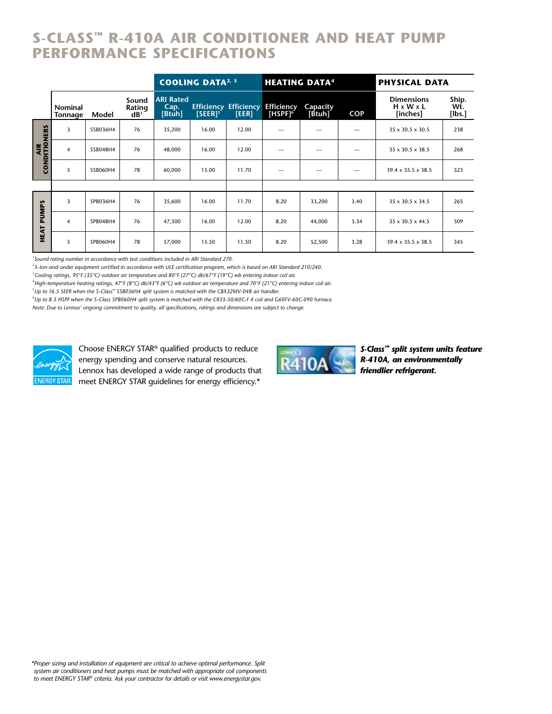# **S-Class™ R-410A Air conditioner and heat pump Performance Specifications**

|               |                                  |          |                                    |                                               | <b>COOLING DATA<sup>2, 3</sup></b> |                                       | <b>HEATING DATA<sup>4</sup></b>      |                    |            | <b>PHYSICAL DATA</b>                                   |                           |
|---------------|----------------------------------|----------|------------------------------------|-----------------------------------------------|------------------------------------|---------------------------------------|--------------------------------------|--------------------|------------|--------------------------------------------------------|---------------------------|
|               | <b>Nominal</b><br><b>Tonnage</b> | Model    | Sound<br>Rating<br>dB <sup>1</sup> | <b>ARI Rated</b><br>Cap.<br>[ <b>B t uh</b> ] | $[SEER]^{5}$                       | <b>Efficiency Efficiency</b><br>[EER] | <b>Efficiency</b><br>$[HSPF]^\sigma$ | Capacity<br>[Btuh] | <b>COP</b> | <b>Dimensions</b><br>$H \times W \times L$<br>[inches] | Ship.<br>Wt.<br>$[$ lbs.] |
| CONDITIONERS  | 3                                | SSB036H4 | 76                                 | 35,200                                        | 16.00                              | 12.00                                 |                                      |                    |            | 35 x 30.5 x 30.5                                       | 238                       |
|               | 4                                | SSB048H4 | 76                                 | 48,000                                        | 16.00                              | 12.00                                 |                                      |                    |            | $35 \times 30.5 \times 38.5$                           | 268                       |
|               | 5                                | SSB060H4 | 78                                 | 60,000                                        | 15.00                              | 11.70                                 |                                      |                    |            | $39.4 \times 35.5 \times 38.5$                         | 323                       |
|               |                                  |          |                                    |                                               |                                    |                                       |                                      |                    |            |                                                        |                           |
| PUMPS<br>HEAT | 3                                | SPB036H4 | 76                                 | 35,600                                        | 16.00                              | 11.70                                 | 8.20                                 | 33,200             | 3.40       | 35 x 30.5 x 34.5                                       | 265                       |
|               | $\overline{4}$                   | SPB048H4 | 76                                 | 47,500                                        | 16.00                              | 12.00                                 | 8.20                                 | 44,000             | 3.34       | $35 \times 30.5 \times 44.5$                           | 309                       |
|               | 5                                | SPB060H4 | 78                                 | 57,000                                        | 15.50                              | 11.50                                 | 8.20                                 | 52,500             | 3.28       | $39.4 \times 35.5 \times 38.5$                         | 345                       |

*1 Sound rating number in accordance with test conditions included in ARI Standard 270.*

*2 5-ton-and-under equipment certified in accordance with ULE certification program, which is based on ARI Standard 210/240.*

*3 Cooling ratings, 95°F (35°C) outdoor air temperature and 80°F (27°C) db/67°F (19°C) wb entering indoor coil air.*

*4 High-temperature heating ratings, 47°F (8°C) db/43°F (6°C) wb outdoor air temperature and 70°F (21°C) entering indoor coil air.*

*5 Up to 16.5 SEER when the S-Class™ SSB036H4 split system is matched with the CBX32MV-048 air handler.*

*6 Up to 8.5 HSPF when the S-Class SPB060H4 split system is matched with the CR33-50/60C-F 4 coil and G60FV-60C-090 furnace.*

*Note: Due to Lennox' ongoing commitment to quality, all specifications, ratings and dimensions are subject to change.*



Choose ENERGY STAR® qualified products to reduce energy spending and conserve natural resources. Lennox has developed a wide range of products that meet ENERGY STAR guidelines for energy efficiency.\*



*S-Class™ split system units feature R-410A, an environmentally friendlier refrigerant.*

*\*Proper sizing and installation of equipment are critical to achieve optimal performance. Split system air conditioners and heat pumps must be matched with appropriate coil components to meet ENERGY STAR® criteria. Ask your contractor for details or visit www.energystar.gov.*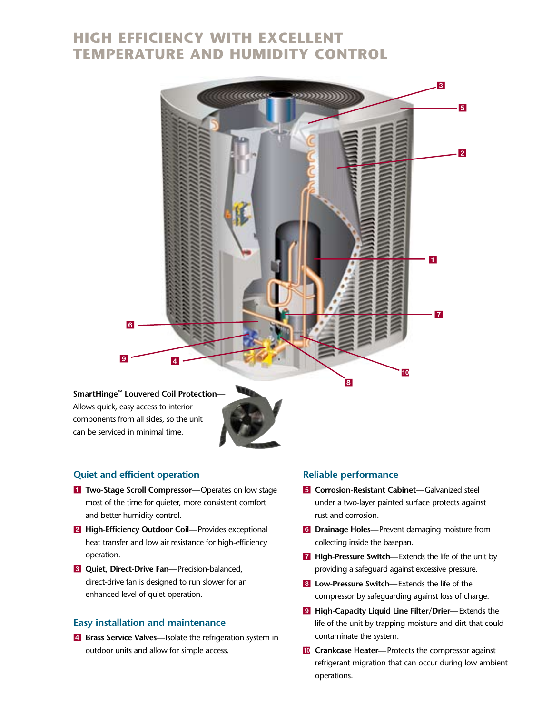# **High Efficiency with excellent temperature and humidity control**



Allows quick, easy access to interior components from all sides, so the unit can be serviced in minimal time.

### **Quiet and efficient operation**

- **1 Two-Stage Scroll Compressor**—Operates on low stage most of the time for quieter, more consistent comfort and better humidity control.
- **2** High-Efficiency Outdoor Coil—Provides exceptional heat transfer and low air resistance for high-efficiency operation.
- **8** Quiet, Direct-Drive Fan-Precision-balanced, direct-drive fan is designed to run slower for an enhanced level of quiet operation.

### **Easy installation and maintenance**

4 **Brass Service Valves—**Isolate the refrigeration system in outdoor units and allow for simple access.

### **Reliable performance**

- **5** Corrosion-Resistant Cabinet—Galvanized steel under a two-layer painted surface protects against rust and corrosion.
- 6 **Drainage Holes—**Prevent damaging moisture from collecting inside the basepan.
- **7** High-Pressure Switch—Extends the life of the unit by providing a safeguard against excessive pressure.
- 8 **Low-Pressure Switch—**Extends the life of the compressor by safeguarding against loss of charge.
- 9 **High-Capacity Liquid Line Filter/Drier—**Extends the life of the unit by trapping moisture and dirt that could contaminate the system.
- **10 Crankcase Heater-Protects the compressor against** refrigerant migration that can occur during low ambient operations.